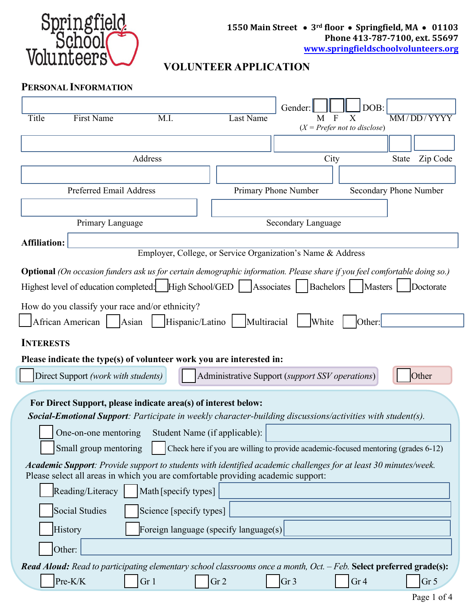

## **VOLUNTEER APPLICATION**

| <b>PERSONAL INFORMATION</b> |
|-----------------------------|
|                             |

| Title                                                                                                                                                                                               | <b>First Name</b>                   | M.I.                                            | <b>Last Name</b>                                                                                                                                                                                           | Gender:<br>M         | DOB:<br>X<br>$(X = Prefer not to disclose)$ | MM/DD/YYYY               |
|-----------------------------------------------------------------------------------------------------------------------------------------------------------------------------------------------------|-------------------------------------|-------------------------------------------------|------------------------------------------------------------------------------------------------------------------------------------------------------------------------------------------------------------|----------------------|---------------------------------------------|--------------------------|
|                                                                                                                                                                                                     |                                     |                                                 |                                                                                                                                                                                                            |                      |                                             |                          |
|                                                                                                                                                                                                     |                                     | Address                                         |                                                                                                                                                                                                            | City                 |                                             | Zip Code<br><b>State</b> |
|                                                                                                                                                                                                     |                                     |                                                 |                                                                                                                                                                                                            |                      |                                             |                          |
| <b>Preferred Email Address</b>                                                                                                                                                                      |                                     |                                                 |                                                                                                                                                                                                            | Primary Phone Number |                                             | Secondary Phone Number   |
|                                                                                                                                                                                                     | Primary Language                    |                                                 |                                                                                                                                                                                                            | Secondary Language   |                                             |                          |
| <b>Affiliation:</b>                                                                                                                                                                                 |                                     |                                                 |                                                                                                                                                                                                            |                      |                                             |                          |
|                                                                                                                                                                                                     |                                     |                                                 | Employer, College, or Service Organization's Name & Address                                                                                                                                                |                      |                                             |                          |
|                                                                                                                                                                                                     |                                     | How do you classify your race and/or ethnicity? | <b>Optional</b> (On occasion funders ask us for certain demographic information. Please share if you feel comfortable doing so.)<br>Highest level of education completed:   High School/GED     Associates | <b>Bachelors</b>     | Masters                                     | Doctorate                |
|                                                                                                                                                                                                     | African American                    | Asian<br>Hispanic/Latino                        | Multiracial                                                                                                                                                                                                | White                | Other:                                      |                          |
| <b>INTERESTS</b>                                                                                                                                                                                    |                                     |                                                 |                                                                                                                                                                                                            |                      |                                             |                          |
| Please indicate the type(s) of volunteer work you are interested in:                                                                                                                                |                                     |                                                 |                                                                                                                                                                                                            |                      |                                             |                          |
|                                                                                                                                                                                                     | Direct Support (work with students) |                                                 | Administrative Support (support SSV operations)                                                                                                                                                            |                      |                                             | Other                    |
| For Direct Support, please indicate area(s) of interest below:<br>Social-Emotional Support: Participate in weekly character-building discussions/activities with student(s).                        |                                     |                                                 |                                                                                                                                                                                                            |                      |                                             |                          |
|                                                                                                                                                                                                     | One-on-one mentoring                |                                                 | Student Name (if applicable):                                                                                                                                                                              |                      |                                             |                          |
|                                                                                                                                                                                                     | Small group mentoring               |                                                 | Check here if you are willing to provide academic-focused mentoring (grades 6-12)                                                                                                                          |                      |                                             |                          |
| Academic Support: Provide support to students with identified academic challenges for at least 30 minutes/week.<br>Please select all areas in which you are comfortable providing academic support: |                                     |                                                 |                                                                                                                                                                                                            |                      |                                             |                          |
| Reading/Literacy<br>Math [specify types]                                                                                                                                                            |                                     |                                                 |                                                                                                                                                                                                            |                      |                                             |                          |
| Social Studies<br>Science [specify types]                                                                                                                                                           |                                     |                                                 |                                                                                                                                                                                                            |                      |                                             |                          |
|                                                                                                                                                                                                     | History                             |                                                 | Foreign language (specify language(s)                                                                                                                                                                      |                      |                                             |                          |
|                                                                                                                                                                                                     | Other:                              |                                                 |                                                                                                                                                                                                            |                      |                                             |                          |
|                                                                                                                                                                                                     | Pre-K/K                             | Gr <sub>1</sub>                                 | <b>Read Aloud:</b> Read to participating elementary school classrooms once a month, Oct. $-$ Feb. Select preferred grade(s):<br>Gr <sub>2</sub>                                                            | Gr <sub>3</sub>      | Gr <sub>4</sub>                             | Gr <sub>5</sub>          |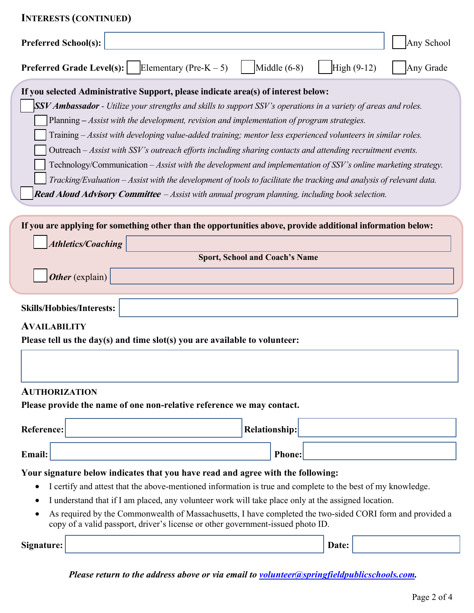| <b>INTERESTS (CONTINUED)</b>                                                                                                                                                                                                                                                                                                                                                                                                                                                                                                                                                                                                                                                                                                                                                                                                                                                                 |       |                            |
|----------------------------------------------------------------------------------------------------------------------------------------------------------------------------------------------------------------------------------------------------------------------------------------------------------------------------------------------------------------------------------------------------------------------------------------------------------------------------------------------------------------------------------------------------------------------------------------------------------------------------------------------------------------------------------------------------------------------------------------------------------------------------------------------------------------------------------------------------------------------------------------------|-------|----------------------------|
| <b>Preferred School(s):</b>                                                                                                                                                                                                                                                                                                                                                                                                                                                                                                                                                                                                                                                                                                                                                                                                                                                                  |       | Any School                 |
| Middle $(6-8)$<br><b>Preferred Grade Level(s):</b><br>Elementary (Pre-K $-5$ )                                                                                                                                                                                                                                                                                                                                                                                                                                                                                                                                                                                                                                                                                                                                                                                                               |       | $High (9-12)$<br>Any Grade |
| If you selected Administrative Support, please indicate area(s) of interest below:<br><b>SSV Ambassador</b> - Utilize your strengths and skills to support SSV's operations in a variety of areas and roles.<br>Planning - Assist with the development, revision and implementation of program strategies.<br>Training – Assist with developing value-added training; mentor less experienced volunteers in similar roles.<br>Outreach – Assist with SSV's outreach efforts including sharing contacts and attending recruitment events.<br>Technology/Communication – Assist with the development and implementation of SSV's online marketing strategy.<br>Tracking/Evaluation – Assist with the development of tools to facilitate the tracking and analysis of relevant data.<br><b>Read Aloud Advisory Committee</b> $-$ Assist with annual program planning, including book selection. |       |                            |
| If you are applying for something other than the opportunities above, provide additional information below:                                                                                                                                                                                                                                                                                                                                                                                                                                                                                                                                                                                                                                                                                                                                                                                  |       |                            |
| <b>Athletics/Coaching</b><br><b>Sport, School and Coach's Name</b>                                                                                                                                                                                                                                                                                                                                                                                                                                                                                                                                                                                                                                                                                                                                                                                                                           |       |                            |
| Other (explain)                                                                                                                                                                                                                                                                                                                                                                                                                                                                                                                                                                                                                                                                                                                                                                                                                                                                              |       |                            |
|                                                                                                                                                                                                                                                                                                                                                                                                                                                                                                                                                                                                                                                                                                                                                                                                                                                                                              |       |                            |
| <b>Skills/Hobbies/Interests:</b>                                                                                                                                                                                                                                                                                                                                                                                                                                                                                                                                                                                                                                                                                                                                                                                                                                                             |       |                            |
| <b>AVAILABILITY</b><br>Please tell us the day(s) and time slot(s) you are available to volunteer:                                                                                                                                                                                                                                                                                                                                                                                                                                                                                                                                                                                                                                                                                                                                                                                            |       |                            |
|                                                                                                                                                                                                                                                                                                                                                                                                                                                                                                                                                                                                                                                                                                                                                                                                                                                                                              |       |                            |
| <b>AUTHORIZATION</b>                                                                                                                                                                                                                                                                                                                                                                                                                                                                                                                                                                                                                                                                                                                                                                                                                                                                         |       |                            |
| Please provide the name of one non-relative reference we may contact.                                                                                                                                                                                                                                                                                                                                                                                                                                                                                                                                                                                                                                                                                                                                                                                                                        |       |                            |
| <b>Reference:</b><br><b>Relationship:</b>                                                                                                                                                                                                                                                                                                                                                                                                                                                                                                                                                                                                                                                                                                                                                                                                                                                    |       |                            |
| <b>Phone:</b><br><b>Email:</b>                                                                                                                                                                                                                                                                                                                                                                                                                                                                                                                                                                                                                                                                                                                                                                                                                                                               |       |                            |
| Your signature below indicates that you have read and agree with the following:<br>I certify and attest that the above-mentioned information is true and complete to the best of my knowledge.<br>٠<br>I understand that if I am placed, any volunteer work will take place only at the assigned location.<br>$\bullet$<br>As required by the Commonwealth of Massachusetts, I have completed the two-sided CORI form and provided a<br>copy of a valid passport, driver's license or other government-issued photo ID.                                                                                                                                                                                                                                                                                                                                                                      |       |                            |
| Signature:                                                                                                                                                                                                                                                                                                                                                                                                                                                                                                                                                                                                                                                                                                                                                                                                                                                                                   | Date: |                            |

*Please return to the address above or via email to volunteer@springfieldpublicschools.com.*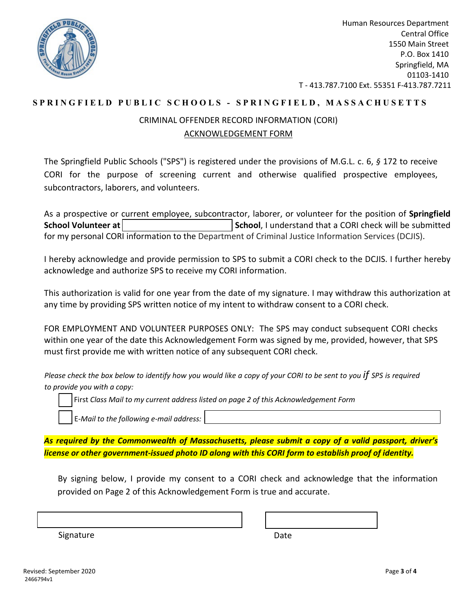

Human Resources Department Central Office 1550 Main Street P.O. Box 1410 Springfield, MA 01103-1410 T - 413.787.7100 Ext. 55351 F-413.787.7211

## **SPRINGFIELD PUBLIC SC H OOLS - SPRINGFIELD, MASSACHUSETTS**

## CRIMINAL OFFENDER RECORD INFORMATION (CORI) ACKNOWLEDGEMENT FORM

The Springfield Public Schools ("SPS") is registered under the provisions of M.G.L. c. 6, *§* 172 to receive CORI for the purpose of screening current and otherwise qualified prospective employees, subcontractors, laborers, and volunteers.

As a prospective or current employee, subcontractor, laborer, or volunteer for the position of **Springfield School Volunteer at School**, I understand that a CORI check will be submitted for my personal CORI information to the Department of Criminal Justice Information Services (DCJIS).

I hereby acknowledge and provide permission to SPS to submit a CORI check to the DCJIS. I further hereby acknowledge and authorize SPS to receive my CORI information.

This authorization is valid for one year from the date of my signature. I may withdraw this authorization at any time by providing SPS written notice of my intent to withdraw consent to a CORI check.

FOR EMPLOYMENT AND VOLUNTEER PURPOSES ONLY: The SPS may conduct subsequent CORI checks within one year of the date this Acknowledgement Form was signed by me, provided, however, that SPS must first provide me with written notice of any subsequent CORI check.

*Please check the box below to identify how you would like a copy of your CORI to be sent to you if SPS is required to provide you with a copy:*

First Class Mail to my current address listed on page 2 of this Acknowledgement Form

☐ E*-Mail to the following e-mail address:* 

*As required by the Commonwealth of Massachusetts, please submit a copy of a valid passport, driver's license or other government-issued photo ID along with this CORI form to establish proof of identity.*

By signing below, I provide my consent to a CORI check and acknowledge that the information provided on Page 2 of this Acknowledgement Form is true and accurate.

| Signature |  |  |
|-----------|--|--|